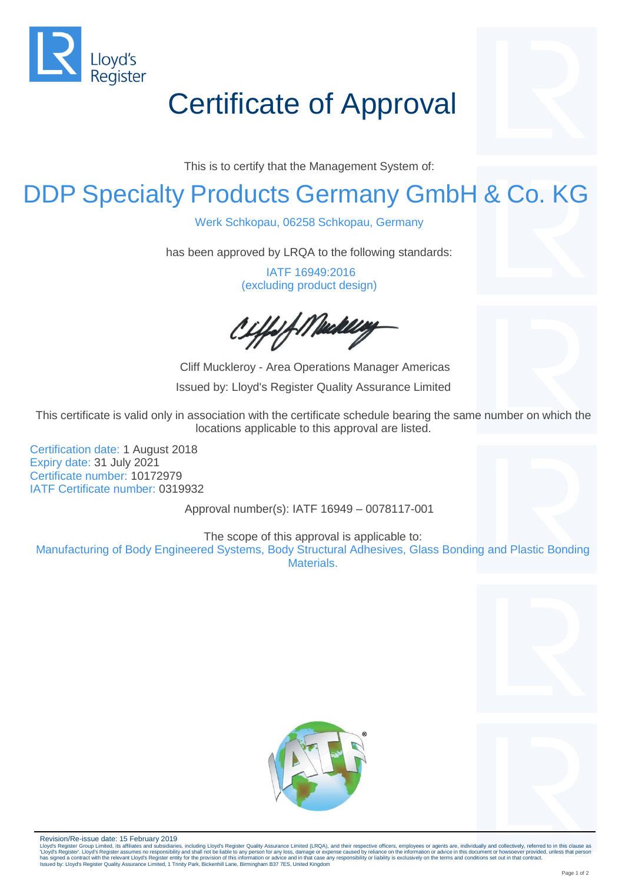

# Certificate of Approval

This is to certify that the Management System of:

### DDP Specialty Products Germany GmbH & Co. KG

Werk Schkopau, 06258 Schkopau, Germany

has been approved by LRQA to the following standards:

IATF 16949:2016 (excluding product design)

:ffsf://Waakleeg

Cliff Muckleroy - Area Operations Manager Americas Issued by: Lloyd's Register Quality Assurance Limited

This certificate is valid only in association with the certificate schedule bearing the same number on which the locations applicable to this approval are listed.

Certification date: 1 August 2018 Expiry date: 31 July 2021 Certificate number: 10172979 IATF Certificate number: 0319932

Approval number(s): IATF 16949 – 0078117-001

The scope of this approval is applicable to:

Manufacturing of Body Engineered Systems, Body Structural Adhesives, Glass Bonding and Plastic Bonding Materials.





Revision/Re-issue date: 15 February 2019

Lloyd's Register Group Limited, its affiliates and subsidiaries, including Lloyd's Register Quality Assurance Limited (LRQA), and their respective officers, employees or agents are, individually and collectively, referred